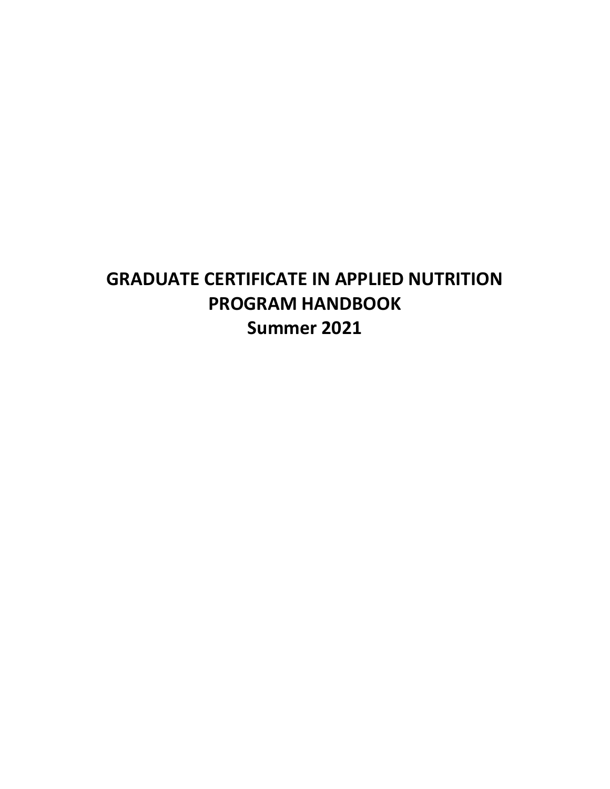# **GRADUATE CERTIFICATE IN APPLIED NUTRITION PROGRAM HANDBOOK Summer 2021**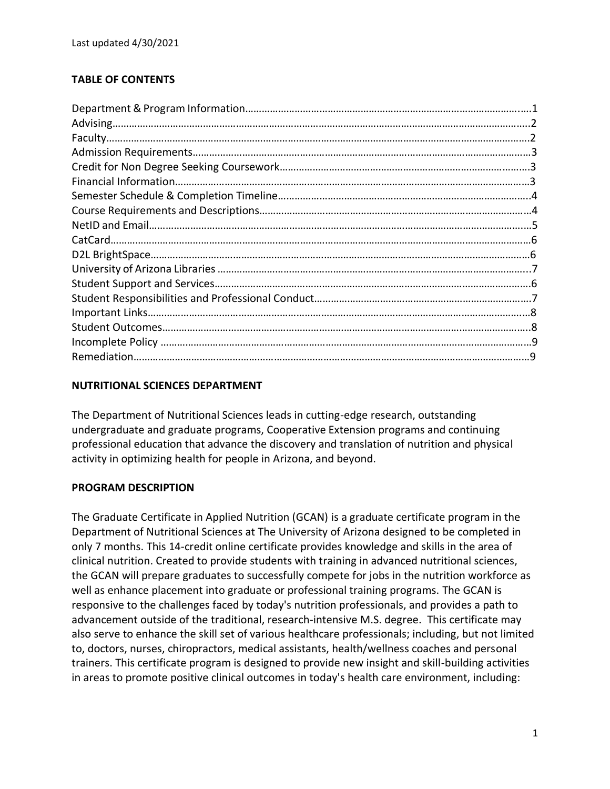# **TABLE OF CONTENTS**

## **NUTRITIONAL SCIENCES DEPARTMENT**

The Department of Nutritional Sciences leads in cutting-edge research, outstanding undergraduate and graduate programs, Cooperative Extension programs and continuing professional education that advance the discovery and translation of nutrition and physical activity in optimizing health for people in Arizona, and beyond.

#### **PROGRAM DESCRIPTION**

The Graduate Certificate in Applied Nutrition (GCAN) is a graduate certificate program in the Department of Nutritional Sciences at The University of Arizona designed to be completed in only 7 months. This 14-credit online certificate provides knowledge and skills in the area of clinical nutrition. Created to provide students with training in advanced nutritional sciences, the GCAN will prepare graduates to successfully compete for jobs in the nutrition workforce as well as enhance placement into graduate or professional training programs. The GCAN is responsive to the challenges faced by today's nutrition professionals, and provides a path to advancement outside of the traditional, research-intensive M.S. degree. This certificate may also serve to enhance the skill set of various healthcare professionals; including, but not limited to, doctors, nurses, chiropractors, medical assistants, health/wellness coaches and personal trainers. This certificate program is designed to provide new insight and skill-building activities in areas to promote positive clinical outcomes in today's health care environment, including: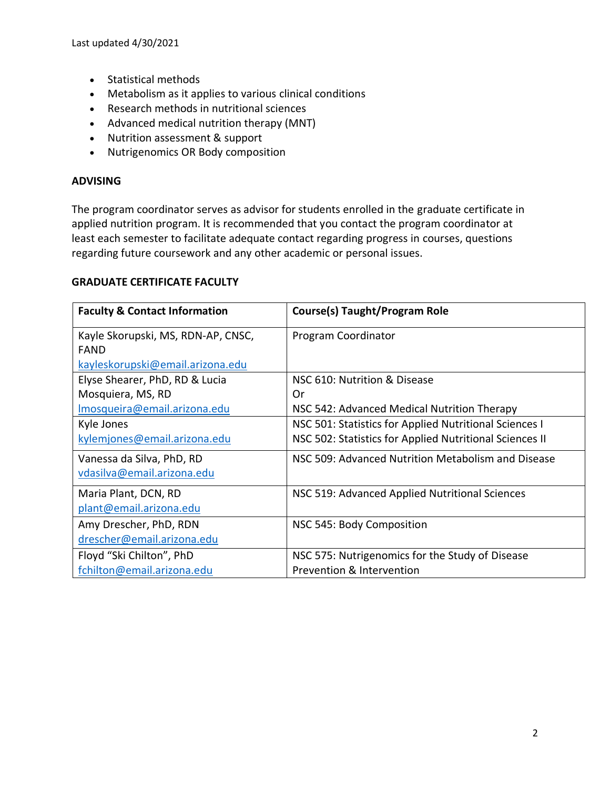- Statistical methods
- Metabolism as it applies to various clinical conditions
- Research methods in nutritional sciences
- Advanced medical nutrition therapy (MNT)
- Nutrition assessment & support
- Nutrigenomics OR Body composition

#### **ADVISING**

The program coordinator serves as advisor for students enrolled in the graduate certificate in applied nutrition program. It is recommended that you contact the program coordinator at least each semester to facilitate adequate contact regarding progress in courses, questions regarding future coursework and any other academic or personal issues.

#### **GRADUATE CERTIFICATE FACULTY**

| <b>Faculty &amp; Contact Information</b> | <b>Course(s) Taught/Program Role</b>                    |
|------------------------------------------|---------------------------------------------------------|
| Kayle Skorupski, MS, RDN-AP, CNSC,       | Program Coordinator                                     |
| <b>FAND</b>                              |                                                         |
| kayleskorupski@email.arizona.edu         |                                                         |
| Elyse Shearer, PhD, RD & Lucia           | NSC 610: Nutrition & Disease                            |
| Mosquiera, MS, RD                        | 0r                                                      |
| Imosqueira@email.arizona.edu             | NSC 542: Advanced Medical Nutrition Therapy             |
| Kyle Jones                               | NSC 501: Statistics for Applied Nutritional Sciences I  |
| kylemjones@email.arizona.edu             | NSC 502: Statistics for Applied Nutritional Sciences II |
| Vanessa da Silva, PhD, RD                | NSC 509: Advanced Nutrition Metabolism and Disease      |
| vdasilva@email.arizona.edu               |                                                         |
| Maria Plant, DCN, RD                     | NSC 519: Advanced Applied Nutritional Sciences          |
| plant@email.arizona.edu                  |                                                         |
| Amy Drescher, PhD, RDN                   | NSC 545: Body Composition                               |
| drescher@email.arizona.edu               |                                                         |
| Floyd "Ski Chilton", PhD                 | NSC 575: Nutrigenomics for the Study of Disease         |
| fchilton@email.arizona.edu               | Prevention & Intervention                               |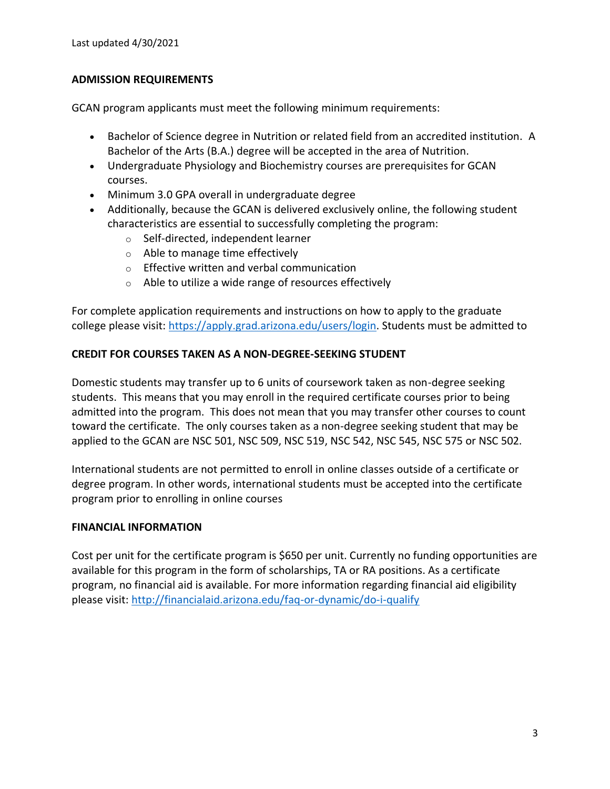Last updated 4/30/2021

## **ADMISSION REQUIREMENTS**

GCAN program applicants must meet the following minimum requirements:

- Bachelor of Science degree in Nutrition or related field from an accredited institution. A Bachelor of the Arts (B.A.) degree will be accepted in the area of Nutrition.
- Undergraduate Physiology and Biochemistry courses are prerequisites for GCAN courses.
- Minimum 3.0 GPA overall in undergraduate degree
- Additionally, because the GCAN is delivered exclusively online, the following student characteristics are essential to successfully completing the program:
	- o Self-directed, independent learner
	- o Able to manage time effectively
	- o Effective written and verbal communication
	- o Able to utilize a wide range of resources effectively

For complete application requirements and instructions on how to apply to the graduate college please visit: [https://apply.grad.arizona.edu/users/login.](https://apply.grad.arizona.edu/users/login) Students must be admitted to

## **CREDIT FOR COURSES TAKEN AS A NON-DEGREE-SEEKING STUDENT**

Domestic students may transfer up to 6 units of coursework taken as non-degree seeking students. This means that you may enroll in the required certificate courses prior to being admitted into the program. This does not mean that you may transfer other courses to count toward the certificate. The only courses taken as a non-degree seeking student that may be applied to the GCAN are NSC 501, NSC 509, NSC 519, NSC 542, NSC 545, NSC 575 or NSC 502.

International students are not permitted to enroll in online classes outside of a certificate or degree program. In other words, international students must be accepted into the certificate program prior to enrolling in online courses

#### **FINANCIAL INFORMATION**

Cost per unit for the certificate program is \$650 per unit. Currently no funding opportunities are available for this program in the form of scholarships, TA or RA positions. As a certificate program, no financial aid is available. For more information regarding financial aid eligibility please visit[: http://financialaid.arizona.edu/faq-or-dynamic/do-i-qualify](http://financialaid.arizona.edu/faq-or-dynamic/do-i-qualify)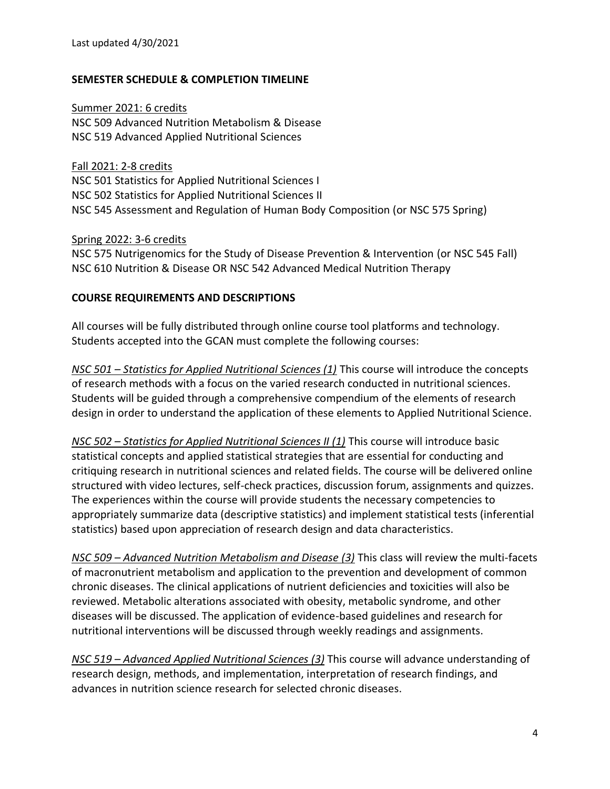#### **SEMESTER SCHEDULE & COMPLETION TIMELINE**

Summer 2021: 6 credits NSC 509 Advanced Nutrition Metabolism & Disease NSC 519 Advanced Applied Nutritional Sciences

Fall 2021: 2-8 credits NSC 501 Statistics for Applied Nutritional Sciences I NSC 502 Statistics for Applied Nutritional Sciences II NSC 545 Assessment and Regulation of Human Body Composition (or NSC 575 Spring)

Spring 2022: 3-6 credits

NSC 575 Nutrigenomics for the Study of Disease Prevention & Intervention (or NSC 545 Fall) NSC 610 Nutrition & Disease OR NSC 542 Advanced Medical Nutrition Therapy

#### **COURSE REQUIREMENTS AND DESCRIPTIONS**

All courses will be fully distributed through online course tool platforms and technology. Students accepted into the GCAN must complete the following courses:

*NSC 501 – Statistics for Applied Nutritional Sciences (1)* This course will introduce the concepts of research methods with a focus on the varied research conducted in nutritional sciences. Students will be guided through a comprehensive compendium of the elements of research design in order to understand the application of these elements to Applied Nutritional Science.

*NSC 502 – Statistics for Applied Nutritional Sciences II (1)* This course will introduce basic statistical concepts and applied statistical strategies that are essential for conducting and critiquing research in nutritional sciences and related fields. The course will be delivered online structured with video lectures, self-check practices, discussion forum, assignments and quizzes. The experiences within the course will provide students the necessary competencies to appropriately summarize data (descriptive statistics) and implement statistical tests (inferential statistics) based upon appreciation of research design and data characteristics.

*NSC 509 – Advanced Nutrition Metabolism and Disease (3)* This class will review the multi-facets of macronutrient metabolism and application to the prevention and development of common chronic diseases. The clinical applications of nutrient deficiencies and toxicities will also be reviewed. Metabolic alterations associated with obesity, metabolic syndrome, and other diseases will be discussed. The application of evidence-based guidelines and research for nutritional interventions will be discussed through weekly readings and assignments.

*NSC 519 – Advanced Applied Nutritional Sciences (3)* This course will advance understanding of research design, methods, and implementation, interpretation of research findings, and advances in nutrition science research for selected chronic diseases.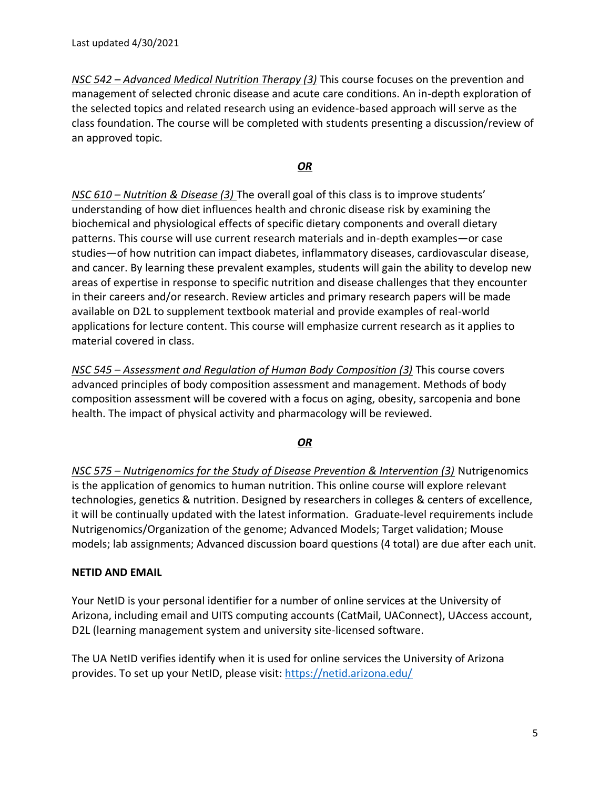*NSC 542 – Advanced Medical Nutrition Therapy (3)* This course focuses on the prevention and management of selected chronic disease and acute care conditions. An in-depth exploration of the selected topics and related research using an evidence-based approach will serve as the class foundation. The course will be completed with students presenting a discussion/review of an approved topic.

#### *OR*

*NSC 610 – Nutrition & Disease (3)* The overall goal of this class is to improve students' understanding of how diet influences health and chronic disease risk by examining the biochemical and physiological effects of specific dietary components and overall dietary patterns. This course will use current research materials and in-depth examples—or case studies—of how nutrition can impact diabetes, inflammatory diseases, cardiovascular disease, and cancer. By learning these prevalent examples, students will gain the ability to develop new areas of expertise in response to specific nutrition and disease challenges that they encounter in their careers and/or research. Review articles and primary research papers will be made available on D2L to supplement textbook material and provide examples of real-world applications for lecture content. This course will emphasize current research as it applies to material covered in class.

*NSC 545 – Assessment and Regulation of Human Body Composition (3)* This course covers advanced principles of body composition assessment and management. Methods of body composition assessment will be covered with a focus on aging, obesity, sarcopenia and bone health. The impact of physical activity and pharmacology will be reviewed.

#### *OR*

*NSC 575 – Nutrigenomics for the Study of Disease Prevention & Intervention (3)* Nutrigenomics is the application of genomics to human nutrition. This online course will explore relevant technologies, genetics & nutrition. Designed by researchers in colleges & centers of excellence, it will be continually updated with the latest information. Graduate-level requirements include Nutrigenomics/Organization of the genome; Advanced Models; Target validation; Mouse models; lab assignments; Advanced discussion board questions (4 total) are due after each unit.

#### **NETID AND EMAIL**

Your NetID is your personal identifier for a number of online services at the University of Arizona, including email and UITS computing accounts (CatMail, UAConnect), UAccess account, D2L (learning management system and university site-licensed software.

The UA NetID verifies identify when it is used for online services the University of Arizona provides. To set up your NetID, please visit:<https://netid.arizona.edu/>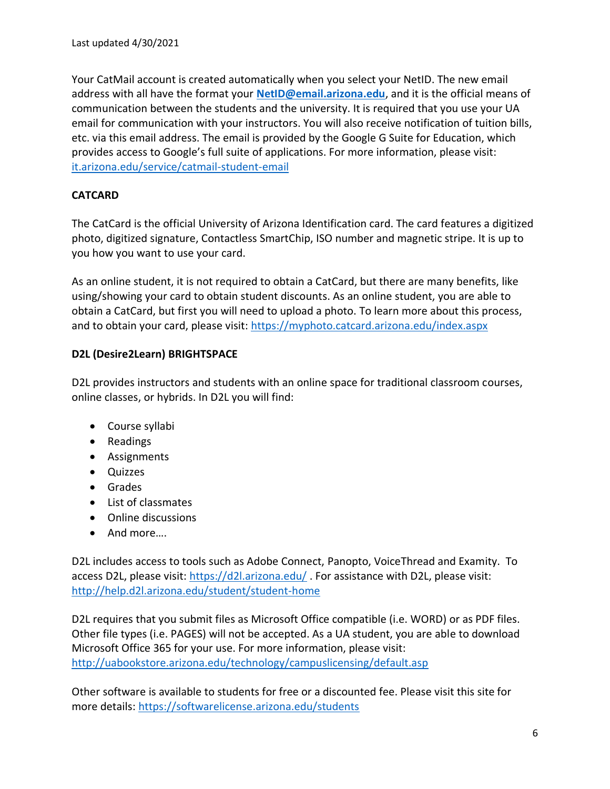Your CatMail account is created automatically when you select your NetID. The new email address with all have the format your **[NetID@email.arizona.edu](mailto:NetID@email.arizona.edu)**, and it is the official means of communication between the students and the university. It is required that you use your UA email for communication with your instructors. You will also receive notification of tuition bills, etc. via this email address. The email is provided by the Google G Suite for Education, which provides access to Google's full suite of applications. For more information, please visit: [it.arizona.edu/service/catmail-student-email](https://it.arizona.edu/service/catmail-student-email)

## **CATCARD**

The CatCard is the official University of Arizona Identification card. The card features a digitized photo, digitized signature, Contactless SmartChip, ISO number and magnetic stripe. It is up to you how you want to use your card.

As an online student, it is not required to obtain a CatCard, but there are many benefits, like using/showing your card to obtain student discounts. As an online student, you are able to obtain a CatCard, but first you will need to upload a photo. To learn more about this process, and to obtain your card, please visit:<https://myphoto.catcard.arizona.edu/index.aspx>

## **D2L (Desire2Learn) BRIGHTSPACE**

D2L provides instructors and students with an online space for traditional classroom courses, online classes, or hybrids. In D2L you will find:

- Course syllabi
- Readings
- Assignments
- Quizzes
- Grades
- List of classmates
- Online discussions
- And more….

D2L includes access to tools such as Adobe Connect, Panopto, VoiceThread and Examity. To access D2L, please visit:<https://d2l.arizona.edu/>. For assistance with D2L, please visit: <http://help.d2l.arizona.edu/student/student-home>

D2L requires that you submit files as Microsoft Office compatible (i.e. WORD) or as PDF files. Other file types (i.e. PAGES) will not be accepted. As a UA student, you are able to download Microsoft Office 365 for your use. For more information, please visit: <http://uabookstore.arizona.edu/technology/campuslicensing/default.asp>

Other software is available to students for free or a discounted fee. Please visit this site for more details:<https://softwarelicense.arizona.edu/students>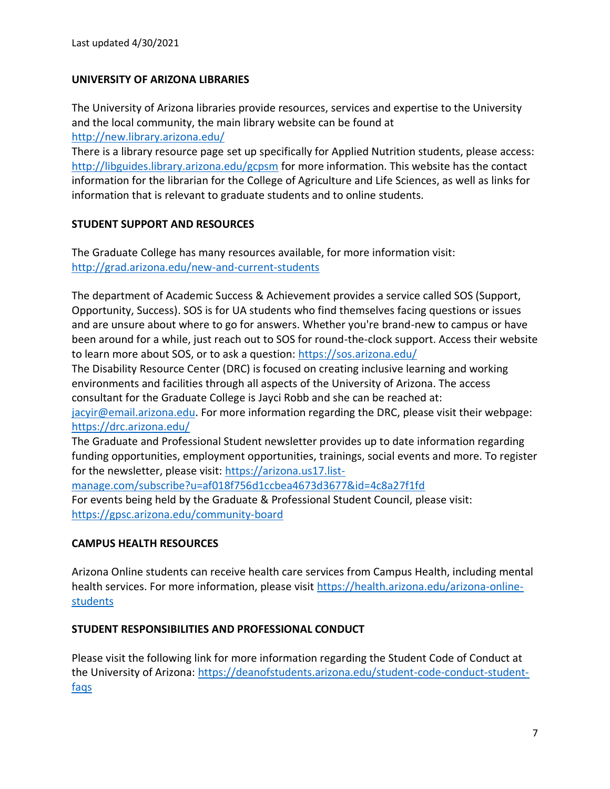#### **UNIVERSITY OF ARIZONA LIBRARIES**

The University of Arizona libraries provide resources, services and expertise to the University and the local community, the main library website can be found at <http://new.library.arizona.edu/>

There is a library resource page set up specifically for Applied Nutrition students, please access: <http://libguides.library.arizona.edu/gcpsm> for more information. This website has the contact information for the librarian for the College of Agriculture and Life Sciences, as well as links for information that is relevant to graduate students and to online students.

## **STUDENT SUPPORT AND RESOURCES**

The Graduate College has many resources available, for more information visit: <http://grad.arizona.edu/new-and-current-students>

The department of Academic Success & Achievement provides a service called SOS (Support, Opportunity, Success). SOS is for UA students who find themselves facing questions or issues and are unsure about where to go for answers. Whether you're brand-new to campus or have been around for a while, just reach out to SOS for round-the-clock support. Access their website to learn more about SOS, or to ask a question:<https://sos.arizona.edu/>

The Disability Resource Center (DRC) is focused on creating inclusive learning and working environments and facilities through all aspects of the University of Arizona. The access consultant for the Graduate College is Jayci Robb and she can be reached at:

[jacyir@email.arizona.edu.](mailto:jacyir@email.arizona.edu) For more information regarding the DRC, please visit their webpage: <https://drc.arizona.edu/>

The Graduate and Professional Student newsletter provides up to date information regarding funding opportunities, employment opportunities, trainings, social events and more. To register for the newsletter, please visit: [https://arizona.us17.list-](https://arizona.us17.list-manage.com/subscribe?u=af018f756d1ccbea4673d3677&id=4c8a27f1fd)

[manage.com/subscribe?u=af018f756d1ccbea4673d3677&id=4c8a27f1fd](https://arizona.us17.list-manage.com/subscribe?u=af018f756d1ccbea4673d3677&id=4c8a27f1fd) For events being held by the Graduate & Professional Student Council, please visit: <https://gpsc.arizona.edu/community-board>

# **CAMPUS HEALTH RESOURCES**

Arizona Online students can receive health care services from Campus Health, including mental health services. For more information, please visit [https://health.arizona.edu/arizona-online](https://health.arizona.edu/arizona-online-students)[students](https://health.arizona.edu/arizona-online-students)

#### **STUDENT RESPONSIBILITIES AND PROFESSIONAL CONDUCT**

Please visit the following link for more information regarding the Student Code of Conduct at the University of Arizona: [https://deanofstudents.arizona.edu/student-code-conduct-student](https://deanofstudents.arizona.edu/student-code-conduct-student-faqs)[faqs](https://deanofstudents.arizona.edu/student-code-conduct-student-faqs)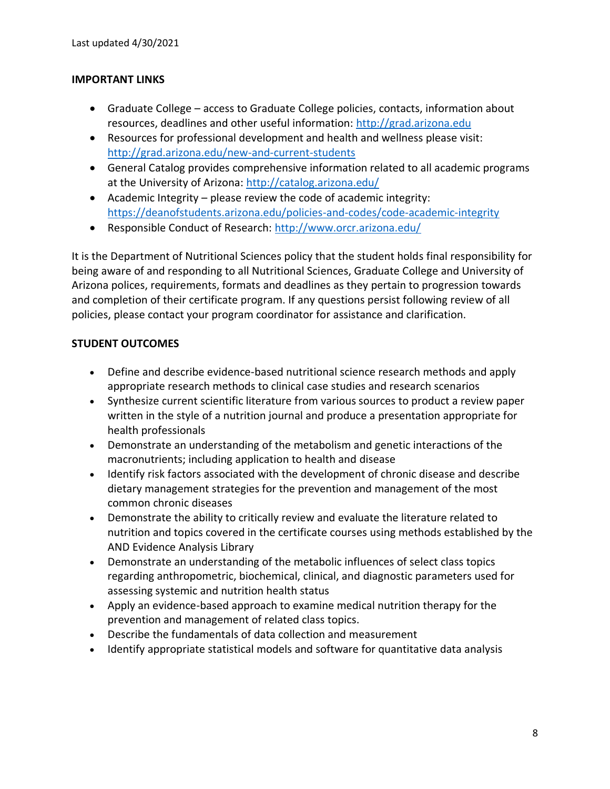#### **IMPORTANT LINKS**

- Graduate College access to Graduate College policies, contacts, information about resources, deadlines and other useful information: [http://grad.arizona.edu](http://grad.arizona.edu/)
- Resources for professional development and health and wellness please visit: <http://grad.arizona.edu/new-and-current-students>
- General Catalog provides comprehensive information related to all academic programs at the University of Arizona:<http://catalog.arizona.edu/>
- Academic Integrity please review the code of academic integrity: <https://deanofstudents.arizona.edu/policies-and-codes/code-academic-integrity>
- Responsible Conduct of Research:<http://www.orcr.arizona.edu/>

It is the Department of Nutritional Sciences policy that the student holds final responsibility for being aware of and responding to all Nutritional Sciences, Graduate College and University of Arizona polices, requirements, formats and deadlines as they pertain to progression towards and completion of their certificate program. If any questions persist following review of all policies, please contact your program coordinator for assistance and clarification.

## **STUDENT OUTCOMES**

- Define and describe evidence-based nutritional science research methods and apply appropriate research methods to clinical case studies and research scenarios
- Synthesize current scientific literature from various sources to product a review paper written in the style of a nutrition journal and produce a presentation appropriate for health professionals
- Demonstrate an understanding of the metabolism and genetic interactions of the macronutrients; including application to health and disease
- Identify risk factors associated with the development of chronic disease and describe dietary management strategies for the prevention and management of the most common chronic diseases
- Demonstrate the ability to critically review and evaluate the literature related to nutrition and topics covered in the certificate courses using methods established by the AND Evidence Analysis Library
- Demonstrate an understanding of the metabolic influences of select class topics regarding anthropometric, biochemical, clinical, and diagnostic parameters used for assessing systemic and nutrition health status
- Apply an evidence-based approach to examine medical nutrition therapy for the prevention and management of related class topics.
- Describe the fundamentals of data collection and measurement
- Identify appropriate statistical models and software for quantitative data analysis